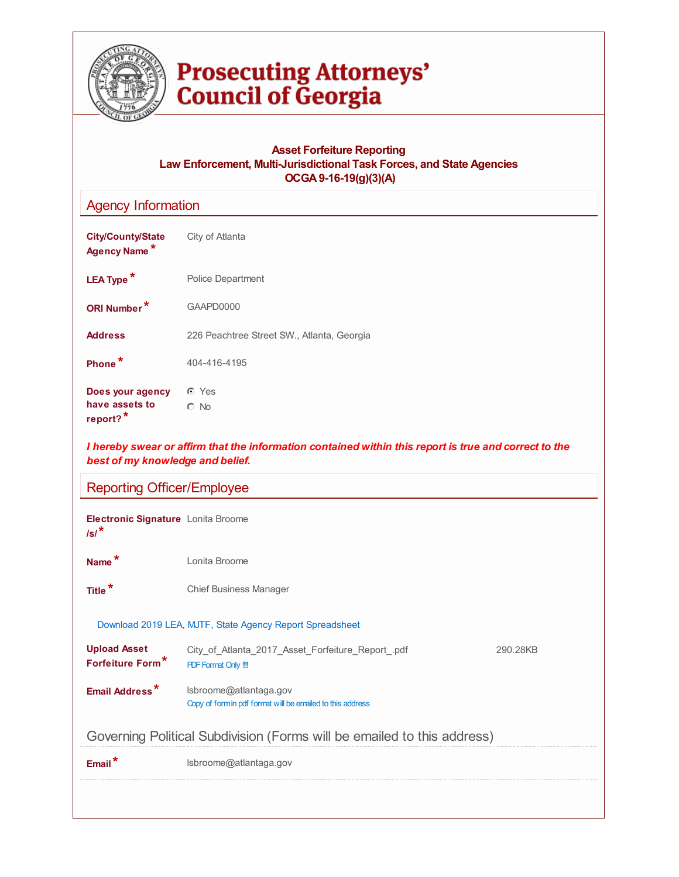

# **Prosecuting Attorneys'<br>Council of Georgia**

# **Asset Forfeiture Reporting Law Enforcement, Multi-Jurisdictional Task Forces, and State Agencies OCGA9-16-19(g)(3)(A)**

| <b>Agency Information</b>                                  |                                                                                                       |          |  |  |  |  |  |  |
|------------------------------------------------------------|-------------------------------------------------------------------------------------------------------|----------|--|--|--|--|--|--|
| <b>City/County/State</b><br>Agency Name*                   | City of Atlanta                                                                                       |          |  |  |  |  |  |  |
| LEA Type <sup>*</sup>                                      | Police Department                                                                                     |          |  |  |  |  |  |  |
| ORI Number*                                                | GAAPD0000                                                                                             |          |  |  |  |  |  |  |
| <b>Address</b>                                             | 226 Peachtree Street SW., Atlanta, Georgia                                                            |          |  |  |  |  |  |  |
| Phone*                                                     | 404-416-4195                                                                                          |          |  |  |  |  |  |  |
| Does your agency<br>have assets to<br>report? <sup>*</sup> | C Yes<br>$\circ$ No                                                                                   |          |  |  |  |  |  |  |
| best of my knowledge and belief.                           | I hereby swear or affirm that the information contained within this report is true and correct to the |          |  |  |  |  |  |  |
| <b>Reporting Officer/Employee</b>                          |                                                                                                       |          |  |  |  |  |  |  |
| Electronic Signature Lonita Broome<br>$\sqrt{s}$ /*        |                                                                                                       |          |  |  |  |  |  |  |
| Name <sup>*</sup>                                          | Lonita Broome                                                                                         |          |  |  |  |  |  |  |
| Title <sup>*</sup>                                         | <b>Chief Business Manager</b>                                                                         |          |  |  |  |  |  |  |
|                                                            | Download 2019 LEA, MJTF, State Agency Report Spreadsheet                                              |          |  |  |  |  |  |  |
| <b>Upload Asset</b><br><b>Forfeiture Form<sup>*</sup></b>  | City_of_Atlanta_2017_Asset_Forfeiture_Report_.pdf<br><b>PDF Format Only !!!</b>                       | 290.28KB |  |  |  |  |  |  |
| <b>Email Address</b>                                       | Isbroome@atlantaga.gov<br>Copy of form in pdf format will be emailed to this address                  |          |  |  |  |  |  |  |
|                                                            | Governing Political Subdivision (Forms will be emailed to this address)                               |          |  |  |  |  |  |  |
| Email*                                                     | Isbroome@atlantaga.gov                                                                                |          |  |  |  |  |  |  |
|                                                            |                                                                                                       |          |  |  |  |  |  |  |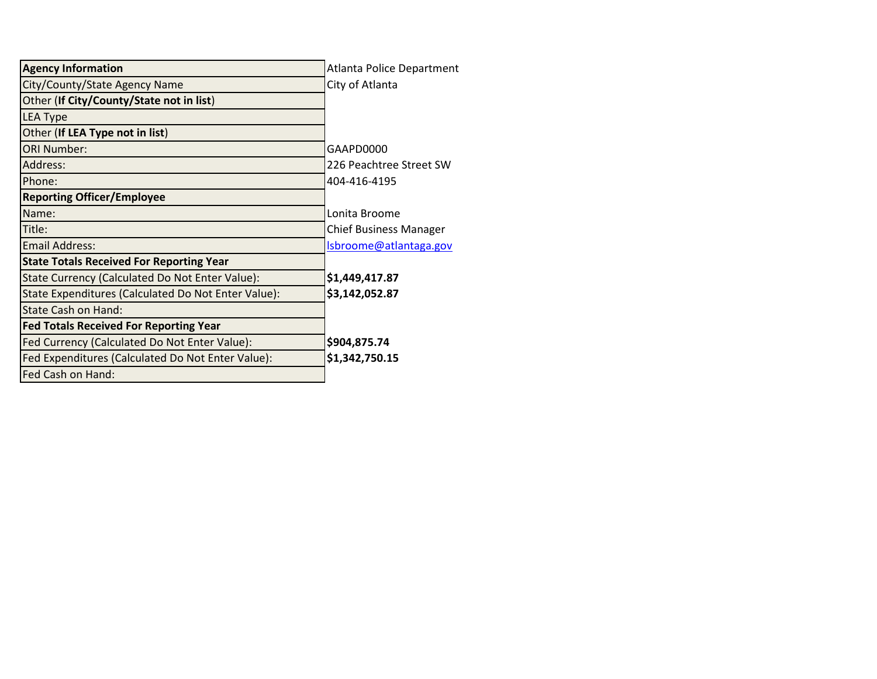| <b>Agency Information</b>                           | Atlanta Police Department     |
|-----------------------------------------------------|-------------------------------|
| City/County/State Agency Name                       | City of Atlanta               |
| Other (If City/County/State not in list)            |                               |
| <b>LEA Type</b>                                     |                               |
| Other (If LEA Type not in list)                     |                               |
| <b>ORI Number:</b>                                  | GAAPD0000                     |
| Address:                                            | 226 Peachtree Street SW       |
| Phone:                                              | 404-416-4195                  |
| <b>Reporting Officer/Employee</b>                   |                               |
| Name:                                               | Lonita Broome                 |
| Title:                                              | <b>Chief Business Manager</b> |
| <b>Email Address:</b>                               | Isbroome@atlantaga.gov        |
| <b>State Totals Received For Reporting Year</b>     |                               |
| State Currency (Calculated Do Not Enter Value):     | \$1,449,417.87                |
| State Expenditures (Calculated Do Not Enter Value): | \$3,142,052.87                |
| State Cash on Hand:                                 |                               |
| <b>Fed Totals Received For Reporting Year</b>       |                               |
| Fed Currency (Calculated Do Not Enter Value):       | \$904,875.74                  |
| Fed Expenditures (Calculated Do Not Enter Value):   | \$1,342,750.15                |
| Fed Cash on Hand:                                   |                               |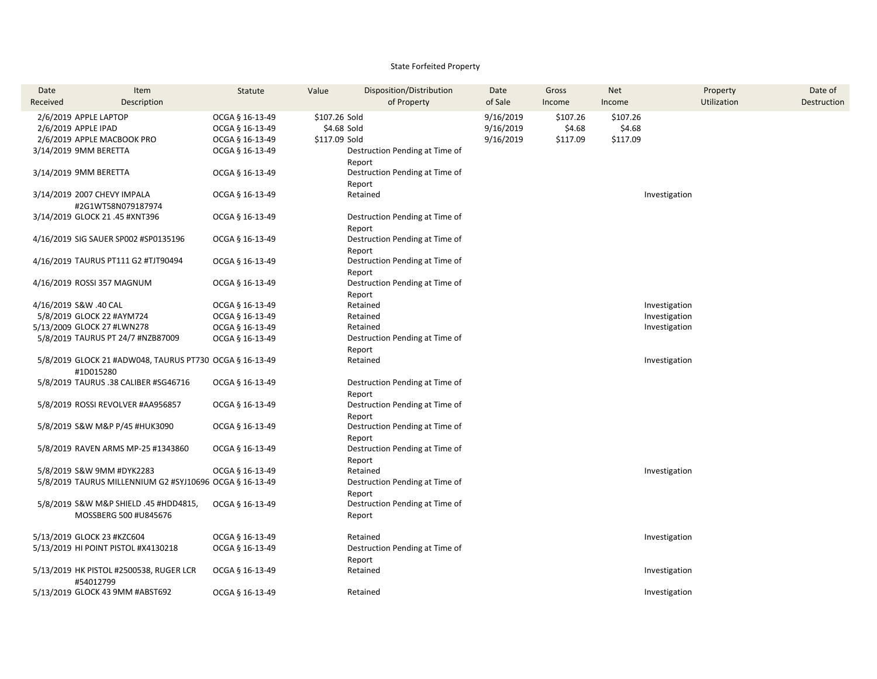### State Forfeited Property

| Date                  | Item                                                    | Statute         | Value         | Disposition/Distribution       | Date      | Gross    | <b>Net</b> | Property      | Date of     |
|-----------------------|---------------------------------------------------------|-----------------|---------------|--------------------------------|-----------|----------|------------|---------------|-------------|
| Received              | Description                                             |                 |               | of Property                    | of Sale   | Income   | Income     | Utilization   | Destruction |
|                       | 2/6/2019 APPLE LAPTOP                                   | OCGA § 16-13-49 | \$107.26 Sold |                                | 9/16/2019 | \$107.26 | \$107.26   |               |             |
| 2/6/2019 APPLE IPAD   |                                                         | OCGA § 16-13-49 | \$4.68 Sold   |                                | 9/16/2019 | \$4.68   | \$4.68     |               |             |
|                       | 2/6/2019 APPLE MACBOOK PRO                              | OCGA § 16-13-49 | \$117.09 Sold |                                | 9/16/2019 | \$117.09 | \$117.09   |               |             |
| 3/14/2019 9MM BERETTA |                                                         | OCGA § 16-13-49 |               | Destruction Pending at Time of |           |          |            |               |             |
|                       |                                                         |                 |               | Report                         |           |          |            |               |             |
| 3/14/2019 9MM BERETTA |                                                         | OCGA § 16-13-49 |               | Destruction Pending at Time of |           |          |            |               |             |
|                       |                                                         |                 |               | Report                         |           |          |            |               |             |
|                       | 3/14/2019 2007 CHEVY IMPALA                             | OCGA § 16-13-49 |               | Retained                       |           |          |            | Investigation |             |
|                       | #2G1WT58N079187974                                      |                 |               |                                |           |          |            |               |             |
|                       | 3/14/2019 GLOCK 21 .45 #XNT396                          | OCGA § 16-13-49 |               | Destruction Pending at Time of |           |          |            |               |             |
|                       |                                                         |                 |               | Report                         |           |          |            |               |             |
|                       | 4/16/2019 SIG SAUER SP002 #SP0135196                    | OCGA § 16-13-49 |               | Destruction Pending at Time of |           |          |            |               |             |
|                       |                                                         |                 |               | Report                         |           |          |            |               |             |
|                       | 4/16/2019 TAURUS PT111 G2 #TJT90494                     | OCGA § 16-13-49 |               | Destruction Pending at Time of |           |          |            |               |             |
|                       |                                                         |                 |               | Report                         |           |          |            |               |             |
|                       | 4/16/2019 ROSSI 357 MAGNUM                              | OCGA § 16-13-49 |               | Destruction Pending at Time of |           |          |            |               |             |
| 4/16/2019 S&W .40 CAL |                                                         | OCGA § 16-13-49 |               | Report<br>Retained             |           |          |            | Investigation |             |
|                       | 5/8/2019 GLOCK 22 #AYM724                               | OCGA § 16-13-49 |               | Retained                       |           |          |            | Investigation |             |
|                       | 5/13/2009 GLOCK 27 #LWN278                              | OCGA § 16-13-49 |               | Retained                       |           |          |            | Investigation |             |
|                       | 5/8/2019 TAURUS PT 24/7 #NZB87009                       | OCGA § 16-13-49 |               | Destruction Pending at Time of |           |          |            |               |             |
|                       |                                                         |                 |               | Report                         |           |          |            |               |             |
|                       | 5/8/2019 GLOCK 21 #ADW048, TAURUS PT730 OCGA § 16-13-49 |                 |               | Retained                       |           |          |            | Investigation |             |
|                       | #1D015280                                               |                 |               |                                |           |          |            |               |             |
|                       | 5/8/2019 TAURUS .38 CALIBER #SG46716                    | OCGA § 16-13-49 |               | Destruction Pending at Time of |           |          |            |               |             |
|                       |                                                         |                 |               | Report                         |           |          |            |               |             |
|                       | 5/8/2019 ROSSI REVOLVER #AA956857                       | OCGA § 16-13-49 |               | Destruction Pending at Time of |           |          |            |               |             |
|                       |                                                         |                 |               | Report                         |           |          |            |               |             |
|                       | 5/8/2019 S&W M&P P/45 #HUK3090                          | OCGA § 16-13-49 |               | Destruction Pending at Time of |           |          |            |               |             |
|                       |                                                         |                 |               | Report                         |           |          |            |               |             |
|                       | 5/8/2019 RAVEN ARMS MP-25 #1343860                      | OCGA § 16-13-49 |               | Destruction Pending at Time of |           |          |            |               |             |
|                       |                                                         |                 |               | Report                         |           |          |            |               |             |
|                       | 5/8/2019 S&W 9MM #DYK2283                               | OCGA § 16-13-49 |               | Retained                       |           |          |            | Investigation |             |
|                       | 5/8/2019 TAURUS MILLENNIUM G2 #SYJ10696 OCGA § 16-13-49 |                 |               | Destruction Pending at Time of |           |          |            |               |             |
|                       |                                                         |                 |               | Report                         |           |          |            |               |             |
|                       | 5/8/2019 S&W M&P SHIELD .45 #HDD4815,                   | OCGA § 16-13-49 |               | Destruction Pending at Time of |           |          |            |               |             |
|                       | MOSSBERG 500 #U845676                                   |                 |               | Report                         |           |          |            |               |             |
|                       | 5/13/2019 GLOCK 23 #KZC604                              | OCGA § 16-13-49 |               | Retained                       |           |          |            | Investigation |             |
|                       | 5/13/2019 HI POINT PISTOL #X4130218                     | OCGA § 16-13-49 |               | Destruction Pending at Time of |           |          |            |               |             |
|                       |                                                         |                 |               | Report                         |           |          |            |               |             |
|                       | 5/13/2019 HK PISTOL #2500538, RUGER LCR                 | OCGA § 16-13-49 |               | Retained                       |           |          |            | Investigation |             |
|                       | #54012799                                               |                 |               |                                |           |          |            |               |             |
|                       | 5/13/2019 GLOCK 43 9MM #ABST692                         | OCGA § 16-13-49 |               | Retained                       |           |          |            | Investigation |             |
|                       |                                                         |                 |               |                                |           |          |            |               |             |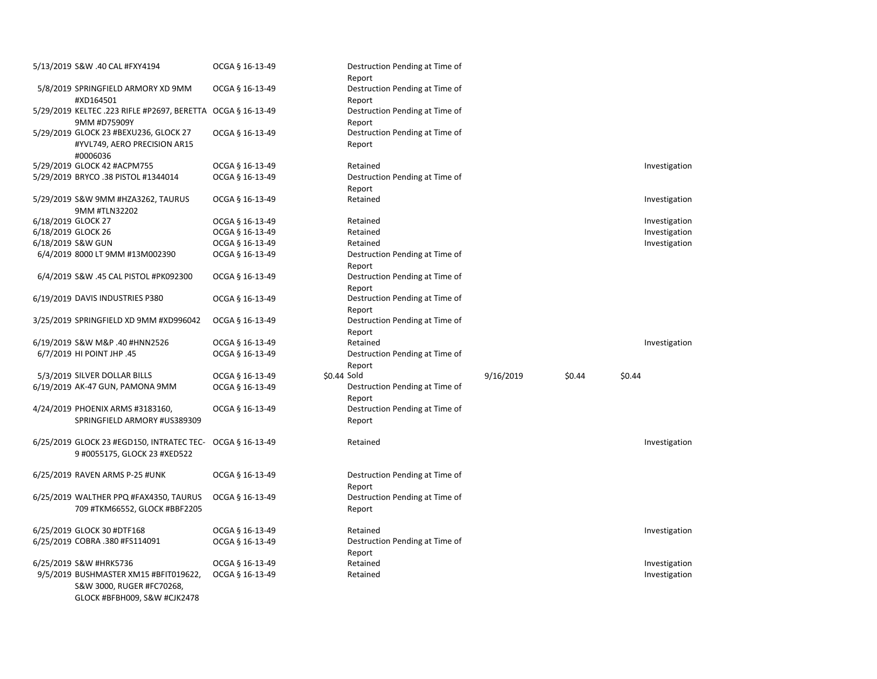|                    | 5/13/2019 S&W .40 CAL #FXY4194                                                                     | OCGA § 16-13-49 | Destruction Pending at Time of<br>Report |           |        |               |
|--------------------|----------------------------------------------------------------------------------------------------|-----------------|------------------------------------------|-----------|--------|---------------|
|                    | 5/8/2019 SPRINGFIELD ARMORY XD 9MM<br>#XD164501                                                    | OCGA § 16-13-49 | Destruction Pending at Time of           |           |        |               |
|                    | 5/29/2019 KELTEC .223 RIFLE #P2697, BERETTA OCGA § 16-13-49                                        |                 | Report<br>Destruction Pending at Time of |           |        |               |
|                    | 9MM #D75909Y                                                                                       |                 | Report                                   |           |        |               |
|                    | 5/29/2019 GLOCK 23 #BEXU236, GLOCK 27<br>#YVL749, AERO PRECISION AR15<br>#0006036                  | OCGA § 16-13-49 | Destruction Pending at Time of<br>Report |           |        |               |
|                    | 5/29/2019 GLOCK 42 #ACPM755                                                                        | OCGA § 16-13-49 | Retained                                 |           |        | Investigation |
|                    | 5/29/2019 BRYCO .38 PISTOL #1344014                                                                | OCGA § 16-13-49 | Destruction Pending at Time of           |           |        |               |
|                    |                                                                                                    |                 | Report                                   |           |        |               |
|                    | 5/29/2019 S&W 9MM #HZA3262, TAURUS<br>9MM #TLN32202                                                | OCGA § 16-13-49 | Retained                                 |           |        | Investigation |
| 6/18/2019 GLOCK 27 |                                                                                                    | OCGA § 16-13-49 | Retained                                 |           |        | Investigation |
| 6/18/2019 GLOCK 26 |                                                                                                    | OCGA § 16-13-49 | Retained                                 |           |        | Investigation |
|                    | 6/18/2019 S&W GUN                                                                                  | OCGA § 16-13-49 | Retained                                 |           |        | Investigation |
|                    | 6/4/2019 8000 LT 9MM #13M002390                                                                    | OCGA § 16-13-49 | Destruction Pending at Time of<br>Report |           |        |               |
|                    | 6/4/2019 S&W .45 CAL PISTOL #PK092300                                                              | OCGA § 16-13-49 | Destruction Pending at Time of<br>Report |           |        |               |
|                    | 6/19/2019 DAVIS INDUSTRIES P380                                                                    | OCGA § 16-13-49 | Destruction Pending at Time of<br>Report |           |        |               |
|                    | 3/25/2019 SPRINGFIELD XD 9MM #XD996042                                                             | OCGA § 16-13-49 | Destruction Pending at Time of<br>Report |           |        |               |
|                    | 6/19/2019 S&W M&P .40 #HNN2526                                                                     | OCGA § 16-13-49 | Retained                                 |           |        | Investigation |
|                    | 6/7/2019 HI POINT JHP .45                                                                          | OCGA § 16-13-49 | Destruction Pending at Time of           |           |        |               |
|                    |                                                                                                    |                 | Report                                   |           |        |               |
|                    | 5/3/2019 SILVER DOLLAR BILLS                                                                       | OCGA § 16-13-49 | \$0.44 Sold                              | 9/16/2019 | \$0.44 | \$0.44        |
|                    | 6/19/2019 AK-47 GUN, PAMONA 9MM                                                                    | OCGA § 16-13-49 | Destruction Pending at Time of<br>Report |           |        |               |
|                    | 4/24/2019 PHOENIX ARMS #3183160,                                                                   | OCGA § 16-13-49 | Destruction Pending at Time of           |           |        |               |
|                    | SPRINGFIELD ARMORY #US389309                                                                       |                 | Report                                   |           |        |               |
|                    | 6/25/2019 GLOCK 23 #EGD150, INTRATEC TEC- OCGA § 16-13-49<br>9 #0055175, GLOCK 23 #XED522          |                 | Retained                                 |           |        | Investigation |
|                    | 6/25/2019 RAVEN ARMS P-25 #UNK                                                                     | OCGA § 16-13-49 | Destruction Pending at Time of<br>Report |           |        |               |
|                    | 6/25/2019 WALTHER PPQ #FAX4350, TAURUS<br>709 #TKM66552, GLOCK #BBF2205                            | OCGA § 16-13-49 | Destruction Pending at Time of<br>Report |           |        |               |
|                    | 6/25/2019 GLOCK 30 #DTF168                                                                         | OCGA § 16-13-49 | Retained                                 |           |        | Investigation |
|                    | 6/25/2019 COBRA .380 #FS114091                                                                     | OCGA § 16-13-49 | Destruction Pending at Time of<br>Report |           |        |               |
|                    | 6/25/2019 S&W #HRK5736                                                                             | OCGA § 16-13-49 | Retained                                 |           |        | Investigation |
|                    | 9/5/2019 BUSHMASTER XM15 #BFIT019622,<br>S&W 3000, RUGER #FC70268,<br>GLOCK #BFBH009, S&W #CJK2478 | OCGA § 16-13-49 | Retained                                 |           |        | Investigation |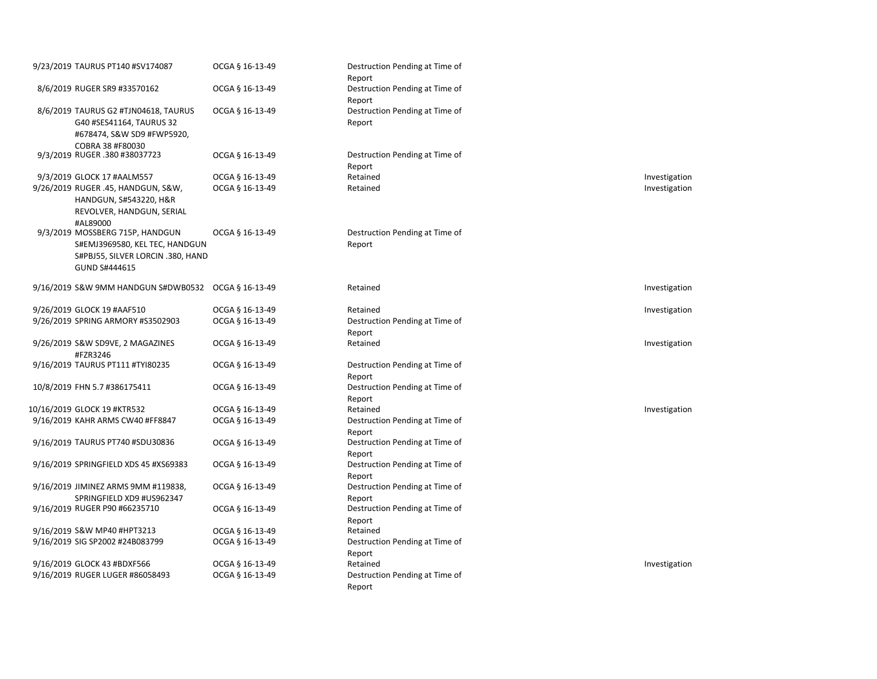| 9/23/2019 TAURUS PT140 #SV174087                                                                                        | OCGA § 16-13-49 | Destruction Pending at Time of<br>Report |               |
|-------------------------------------------------------------------------------------------------------------------------|-----------------|------------------------------------------|---------------|
| 8/6/2019 RUGER SR9 #33570162                                                                                            | OCGA § 16-13-49 | Destruction Pending at Time of<br>Report |               |
| 8/6/2019 TAURUS G2 #TJN04618, TAURUS<br>G40 #SES41164, TAURUS 32<br>#678474, S&W SD9 #FWP5920,<br>COBRA 38 #F80030      | OCGA § 16-13-49 | Destruction Pending at Time of<br>Report |               |
| 9/3/2019 RUGER .380 #38037723                                                                                           | OCGA § 16-13-49 | Destruction Pending at Time of<br>Report |               |
| 9/3/2019 GLOCK 17 #AALM557                                                                                              | OCGA § 16-13-49 | Retained                                 | Investigation |
| 9/26/2019 RUGER .45, HANDGUN, S&W,<br>HANDGUN, S#543220, H&R<br>REVOLVER, HANDGUN, SERIAL<br>#AL89000                   | OCGA § 16-13-49 | Retained                                 | Investigation |
| 9/3/2019 MOSSBERG 715P, HANDGUN<br>S#EMJ3969580, KEL TEC, HANDGUN<br>S#PBJ55, SILVER LORCIN .380, HAND<br>GUND S#444615 | OCGA § 16-13-49 | Destruction Pending at Time of<br>Report |               |
| 9/16/2019 S&W 9MM HANDGUN S#DWB0532 OCGA § 16-13-49                                                                     |                 | Retained                                 | Investigation |
| 9/26/2019 GLOCK 19 #AAF510                                                                                              | OCGA § 16-13-49 | Retained                                 | Investigation |
| 9/26/2019 SPRING ARMORY #S3502903                                                                                       | OCGA § 16-13-49 | Destruction Pending at Time of<br>Report |               |
| 9/26/2019 S&W SD9VE, 2 MAGAZINES<br>#FZR3246                                                                            | OCGA § 16-13-49 | Retained                                 | Investigation |
| 9/16/2019 TAURUS PT111 #TYI80235                                                                                        | OCGA § 16-13-49 | Destruction Pending at Time of<br>Report |               |
| 10/8/2019 FHN 5.7 #386175411                                                                                            | OCGA § 16-13-49 | Destruction Pending at Time of<br>Report |               |
| 10/16/2019 GLOCK 19 #KTR532                                                                                             | OCGA § 16-13-49 | Retained                                 | Investigation |
| 9/16/2019 KAHR ARMS CW40 #FF8847                                                                                        | OCGA § 16-13-49 | Destruction Pending at Time of<br>Report |               |
| 9/16/2019 TAURUS PT740 #SDU30836                                                                                        | OCGA § 16-13-49 | Destruction Pending at Time of<br>Report |               |
| 9/16/2019 SPRINGFIELD XDS 45 #XS69383                                                                                   | OCGA § 16-13-49 | Destruction Pending at Time of<br>Report |               |
| 9/16/2019 JIMINEZ ARMS 9MM #119838,<br>SPRINGFIELD XD9 #US962347                                                        | OCGA § 16-13-49 | Destruction Pending at Time of<br>Report |               |
| 9/16/2019 RUGER P90 #66235710                                                                                           | OCGA § 16-13-49 | Destruction Pending at Time of<br>Report |               |
| 9/16/2019 S&W MP40 #HPT3213                                                                                             | OCGA § 16-13-49 | Retained                                 |               |
| 9/16/2019 SIG SP2002 #24B083799                                                                                         | OCGA § 16-13-49 | Destruction Pending at Time of<br>Report |               |
| 9/16/2019 GLOCK 43 #BDXF566                                                                                             | OCGA § 16-13-49 | Retained                                 | Investigation |
| 9/16/2019 RUGER LUGER #86058493                                                                                         | OCGA § 16-13-49 | Destruction Pending at Time of<br>Report |               |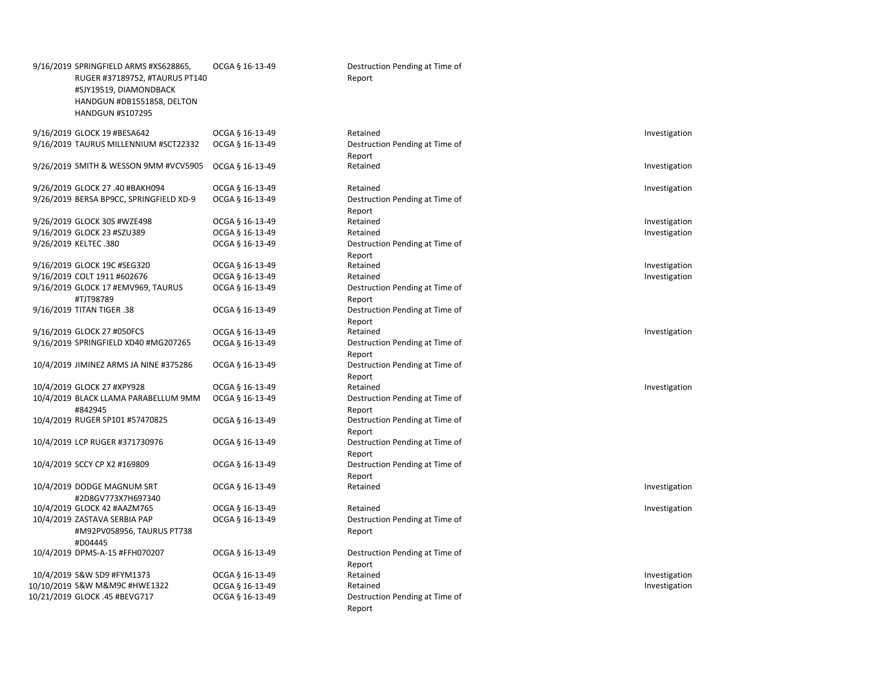|  | 9/16/2019 SPRINGFIELD ARMS #XS628865,<br>RUGER #37189752, #TAURUS PT140<br>#SJY19519, DIAMONDBACK<br>HANDGUN #DB1551858, DELTON<br><b>HANDGUN #S107295</b> | OCGA § 16-13-49 | Destruction Pending at Time of<br>Report           |
|--|------------------------------------------------------------------------------------------------------------------------------------------------------------|-----------------|----------------------------------------------------|
|  | 9/16/2019 GLOCK 19 #BESA642                                                                                                                                | OCGA § 16-13-49 | Retained                                           |
|  | 9/16/2019 TAURUS MILLENNIUM #SCT22332                                                                                                                      | OCGA § 16-13-49 | Destruction Pending at Time of<br>Report           |
|  | 9/26/2019 SMITH & WESSON 9MM #VCV5905                                                                                                                      | OCGA § 16-13-49 | Retained                                           |
|  | 9/26/2019 GLOCK 27 .40 #BAKH094                                                                                                                            | OCGA § 16-13-49 | Retained                                           |
|  | 9/26/2019 BERSA BP9CC, SPRINGFIELD XD-9                                                                                                                    | OCGA § 16-13-49 | Destruction Pending at Time of<br>Report           |
|  | 9/26/2019 GLOCK 30S #WZE498                                                                                                                                | OCGA § 16-13-49 | Retained                                           |
|  | 9/16/2019 GLOCK 23 #SZU389                                                                                                                                 | OCGA § 16-13-49 | Retained                                           |
|  | 9/26/2019 KELTEC .380                                                                                                                                      | OCGA § 16-13-49 | Destruction Pending at Time of<br>Report           |
|  | 9/16/2019 GLOCK 19C #SEG320                                                                                                                                | OCGA § 16-13-49 | Retained                                           |
|  | 9/16/2019 COLT 1911 #602676                                                                                                                                | OCGA § 16-13-49 | Retained                                           |
|  | 9/16/2019 GLOCK 17 #EMV969, TAURUS                                                                                                                         | OCGA § 16-13-49 | Destruction Pending at Time of                     |
|  | #TJT98789<br>9/16/2019 TITAN TIGER .38                                                                                                                     | OCGA § 16-13-49 | Report<br>Destruction Pending at Time of<br>Report |
|  | 9/16/2019 GLOCK 27 #050FCS                                                                                                                                 | OCGA § 16-13-49 | Retained                                           |
|  | 9/16/2019 SPRINGFIELD XD40 #MG207265                                                                                                                       | OCGA § 16-13-49 | Destruction Pending at Time of                     |
|  | 10/4/2019 JIMINEZ ARMS JA NINE #375286                                                                                                                     | OCGA § 16-13-49 | Report<br>Destruction Pending at Time of<br>Report |
|  | 10/4/2019 GLOCK 27 #XPY928                                                                                                                                 | OCGA § 16-13-49 | Retained                                           |
|  | 10/4/2019 BLACK LLAMA PARABELLUM 9MM                                                                                                                       | OCGA § 16-13-49 | Destruction Pending at Time of                     |
|  | #842945<br>10/4/2019 RUGER SP101 #57470825                                                                                                                 | OCGA § 16-13-49 | Report<br>Destruction Pending at Time of<br>Report |
|  | 10/4/2019 LCP RUGER #371730976                                                                                                                             | OCGA § 16-13-49 | Destruction Pending at Time of<br>Report           |
|  | 10/4/2019 SCCY CP X2 #169809                                                                                                                               | OCGA § 16-13-49 | Destruction Pending at Time of<br>Report           |
|  | 10/4/2019 DODGE MAGNUM SRT<br>#2D8GV773X7H697340                                                                                                           | OCGA § 16-13-49 | Retained                                           |
|  | 10/4/2019 GLOCK 42 #AAZM765                                                                                                                                | OCGA § 16-13-49 | Retained                                           |
|  | 10/4/2019 ZASTAVA SERBIA PAP                                                                                                                               | OCGA § 16-13-49 | Destruction Pending at Time of                     |
|  | #M92PV058956, TAURUS PT738<br>#D04445                                                                                                                      |                 | Report                                             |
|  | 10/4/2019 DPMS-A-15 #FFH070207                                                                                                                             | OCGA § 16-13-49 | Destruction Pending at Time of<br>Report           |
|  | 10/4/2019 S&W SD9 #FYM1373                                                                                                                                 | OCGA § 16-13-49 | Retained                                           |
|  | 10/10/2019 S&W M&M9C #HWE1322                                                                                                                              | OCGA § 16-13-49 | Retained                                           |
|  | 10/21/2019 GLOCK .45 #BEVG717                                                                                                                              | OCGA § 16-13-49 | Destruction Pending at Time of                     |
|  |                                                                                                                                                            |                 |                                                    |

### Destruction Pending at Time of Report

| 9/16/2019 GLOCK 19 #BESA642             | OCGA § 16-13-49 | Retained                       | Investigation |
|-----------------------------------------|-----------------|--------------------------------|---------------|
| 9/16/2019 TAURUS MILLENNIUM #SCT22332   | OCGA § 16-13-49 | Destruction Pending at Time of |               |
|                                         |                 | Report                         |               |
| 9/26/2019 SMITH & WESSON 9MM #VCV5905   | OCGA § 16-13-49 | Retained                       | Investigation |
|                                         |                 |                                |               |
| 9/26/2019 GLOCK 27 .40 #BAKH094         | OCGA § 16-13-49 | Retained                       | Investigation |
| 9/26/2019 BERSA BP9CC, SPRINGFIELD XD-9 | OCGA § 16-13-49 | Destruction Pending at Time of |               |
|                                         |                 | Report                         |               |
| 9/26/2019 GLOCK 30S #WZE498             | OCGA § 16-13-49 | Retained                       | Investigation |
| 9/16/2019 GLOCK 23 #SZU389              | OCGA § 16-13-49 | Retained                       | Investigation |
| 9/26/2019 KELTEC .380                   | OCGA § 16-13-49 | Destruction Pending at Time of |               |
|                                         |                 | Report                         |               |
| 9/16/2019 GLOCK 19C #SEG320             | OCGA § 16-13-49 | Retained                       | Investigation |
| 9/16/2019 COLT 1911 #602676             | OCGA § 16-13-49 | Retained                       | Investigation |
| 9/16/2019 GLOCK 17 #EMV969, TAURUS      | OCGA § 16-13-49 | Destruction Pending at Time of |               |
| #TJT98789                               |                 | Report                         |               |
| 9/16/2019 TITAN TIGER .38               | OCGA § 16-13-49 | Destruction Pending at Time of |               |
|                                         |                 | Report                         |               |
| 9/16/2019 GLOCK 27 #050FCS              | OCGA § 16-13-49 | Retained                       | Investigation |
| 9/16/2019 SPRINGFIELD XD40 #MG207265    | OCGA § 16-13-49 | Destruction Pending at Time of |               |
|                                         |                 | Report                         |               |
| 10/4/2019 JIMINEZ ARMS JA NINE #375286  | OCGA § 16-13-49 | Destruction Pending at Time of |               |
|                                         |                 | Report                         |               |
| 10/4/2019 GLOCK 27 #XPY928              | OCGA § 16-13-49 | Retained                       | Investigation |
| 10/4/2019 BLACK LLAMA PARABELLUM 9MM    | OCGA § 16-13-49 | Destruction Pending at Time of |               |
| #842945                                 |                 | Report                         |               |
| 10/4/2019 RUGER SP101 #57470825         | OCGA § 16-13-49 | Destruction Pending at Time of |               |
|                                         |                 | Report                         |               |
| 10/4/2019 LCP RUGER #371730976          | OCGA § 16-13-49 | Destruction Pending at Time of |               |
|                                         |                 | Report                         |               |
| 10/4/2019 SCCY CP X2 #169809            | OCGA § 16-13-49 | Destruction Pending at Time of |               |
|                                         |                 | Report                         |               |
| 10/4/2019 DODGE MAGNUM SRT              | OCGA § 16-13-49 | Retained                       | Investigation |
| #2D8GV773X7H697340                      |                 |                                |               |
| 10/4/2019 GLOCK 42 #AAZM765             | OCGA § 16-13-49 | Retained                       | Investigation |
| 10/4/2019 ZASTAVA SERBIA PAP            | OCGA § 16-13-49 | Destruction Pending at Time of |               |
| #M92PV058956, TAURUS PT738              |                 | Report                         |               |
| #D04445                                 |                 |                                |               |
| 10/4/2019 DPMS-A-15 #FFH070207          | OCGA § 16-13-49 | Destruction Pending at Time of |               |
|                                         |                 | Report                         |               |
| 10/4/2019 S&W SD9 #FYM1373              | OCGA § 16-13-49 | Retained                       | Investigation |
| 10/10/2019 S&W M&M9C #HWE1322           | OCGA § 16-13-49 | Retained                       | Investigation |
| 10/21/2019 GLOCK .45 #BEVG717           | OCGA § 16-13-49 | Destruction Pending at Time of |               |
|                                         |                 | Report                         |               |
|                                         |                 |                                |               |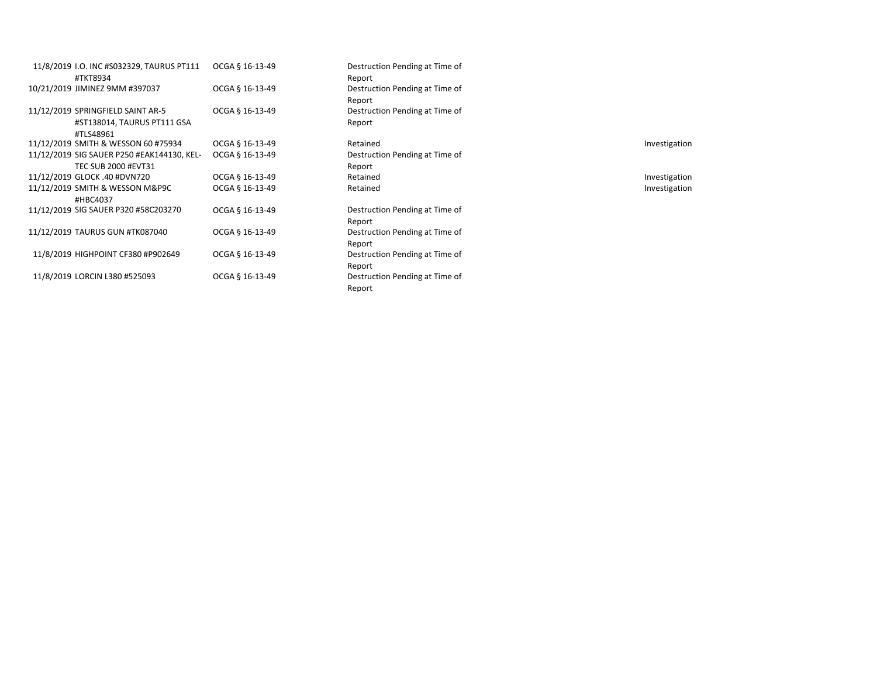| 11/8/2019 I.O. INC #S032329, TAURUS PT111  | OCGA § 16-13-49 | Destruction Pending at Time of |               |
|--------------------------------------------|-----------------|--------------------------------|---------------|
| #TKT8934                                   |                 | Report                         |               |
| 10/21/2019 JIMINEZ 9MM #397037             | OCGA § 16-13-49 | Destruction Pending at Time of |               |
|                                            |                 | Report                         |               |
| 11/12/2019 SPRINGFIELD SAINT AR-5          | OCGA § 16-13-49 | Destruction Pending at Time of |               |
| #ST138014, TAURUS PT111 GSA                |                 | Report                         |               |
| #TLS48961                                  |                 |                                |               |
| 11/12/2019 SMITH & WESSON 60 #75934        | OCGA § 16-13-49 | Retained                       | Investigation |
| 11/12/2019 SIG SAUER P250 #EAK144130, KEL- | OCGA § 16-13-49 | Destruction Pending at Time of |               |
| <b>TEC SUB 2000 #EVT31</b>                 |                 | Report                         |               |
| 11/12/2019 GLOCK .40 #DVN720               | OCGA § 16-13-49 | Retained                       | Investigation |
| 11/12/2019 SMITH & WESSON M&P9C            | OCGA § 16-13-49 | Retained                       | Investigation |
| #HBC4037                                   |                 |                                |               |
| 11/12/2019 SIG SAUER P320 #58C203270       | OCGA § 16-13-49 | Destruction Pending at Time of |               |
|                                            |                 | Report                         |               |
| 11/12/2019 TAURUS GUN #TK087040            | OCGA § 16-13-49 | Destruction Pending at Time of |               |
|                                            |                 | Report                         |               |
| 11/8/2019 HIGHPOINT CF380 #P902649         | OCGA § 16-13-49 | Destruction Pending at Time of |               |
|                                            |                 | Report                         |               |
| 11/8/2019 LORCIN L380 #525093              | OCGA § 16-13-49 | Destruction Pending at Time of |               |
|                                            |                 |                                |               |

Destruction Pending at Time of Report Destruction Pending at Time of Report Destruction Pending at Time of Report Destruction Pending at Time of Report<br>Retained Retained **Exercise Entrancement Control** Retained Destruction Pending at Time of Report Destruction Pending at Time of Report Destruction Pending at Time of Report Destruction Pending at Time of Report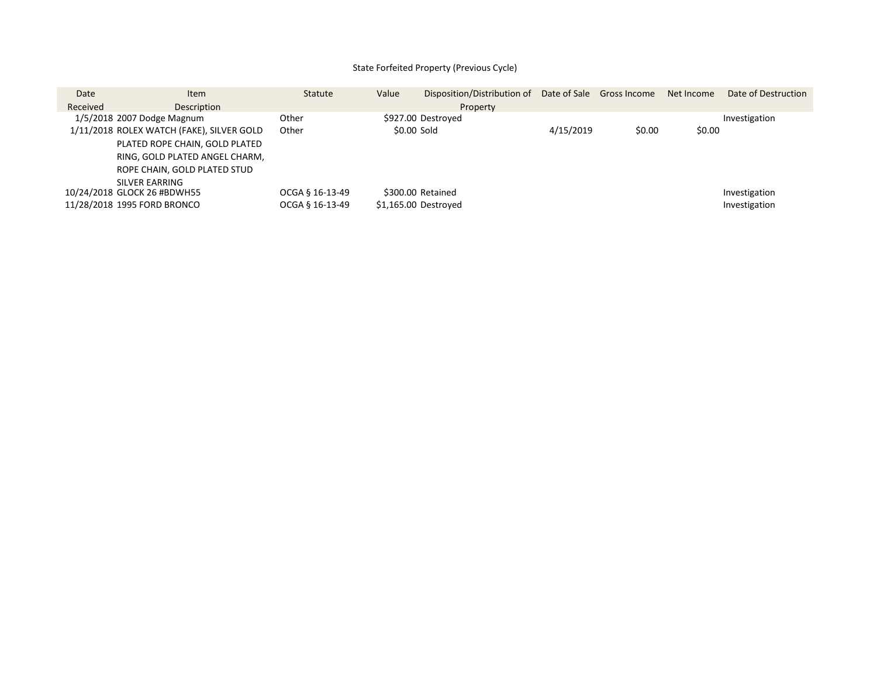# State Forfeited Property (Previous Cycle)

| Date     | <b>Item</b>                               | Statute         | Value | Disposition/Distribution of Date of Sale Gross Income |           |        | Net Income | Date of Destruction |
|----------|-------------------------------------------|-----------------|-------|-------------------------------------------------------|-----------|--------|------------|---------------------|
| Received | Description                               |                 |       | Property                                              |           |        |            |                     |
|          | 1/5/2018 2007 Dodge Magnum                | Other           |       | \$927.00 Destroyed                                    |           |        |            | Investigation       |
|          | 1/11/2018 ROLEX WATCH (FAKE), SILVER GOLD | Other           |       | \$0.00 Sold                                           | 4/15/2019 | \$0.00 | \$0.00     |                     |
|          | PLATED ROPE CHAIN, GOLD PLATED            |                 |       |                                                       |           |        |            |                     |
|          | RING, GOLD PLATED ANGEL CHARM,            |                 |       |                                                       |           |        |            |                     |
|          | ROPE CHAIN, GOLD PLATED STUD              |                 |       |                                                       |           |        |            |                     |
|          | SILVER FARRING                            |                 |       |                                                       |           |        |            |                     |
|          | 10/24/2018 GLOCK 26 #BDWH55               | OCGA § 16-13-49 |       | \$300.00 Retained                                     |           |        |            | Investigation       |
|          | 11/28/2018 1995 FORD BRONCO               | OCGA § 16-13-49 |       | \$1,165.00 Destroyed                                  |           |        |            | Investigation       |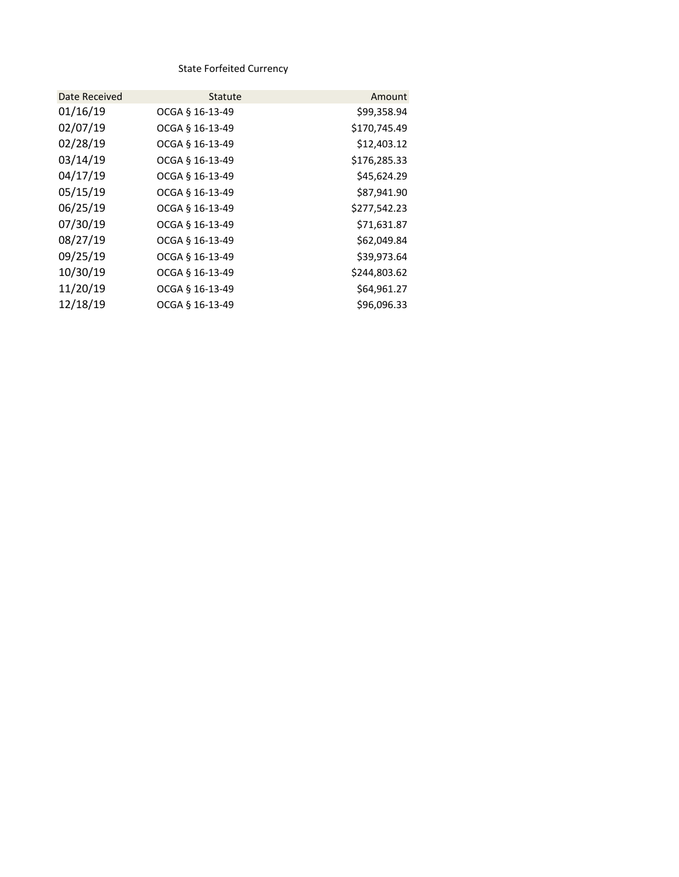State Forfeited Currency

| Date Received | Statute         | Amount       |
|---------------|-----------------|--------------|
| 01/16/19      | OCGA § 16-13-49 | \$99,358.94  |
| 02/07/19      | OCGA § 16-13-49 | \$170,745.49 |
| 02/28/19      | OCGA § 16-13-49 | \$12,403.12  |
| 03/14/19      | OCGA § 16-13-49 | \$176,285.33 |
| 04/17/19      | OCGA § 16-13-49 | \$45,624.29  |
| 05/15/19      | OCGA § 16-13-49 | \$87,941.90  |
| 06/25/19      | OCGA § 16-13-49 | \$277,542.23 |
| 07/30/19      | OCGA § 16-13-49 | \$71,631.87  |
| 08/27/19      | OCGA § 16-13-49 | \$62,049.84  |
| 09/25/19      | OCGA § 16-13-49 | \$39,973.64  |
| 10/30/19      | OCGA § 16-13-49 | \$244,803.62 |
| 11/20/19      | OCGA § 16-13-49 | \$64,961.27  |
| 12/18/19      | OCGA § 16-13-49 | \$96,096.33  |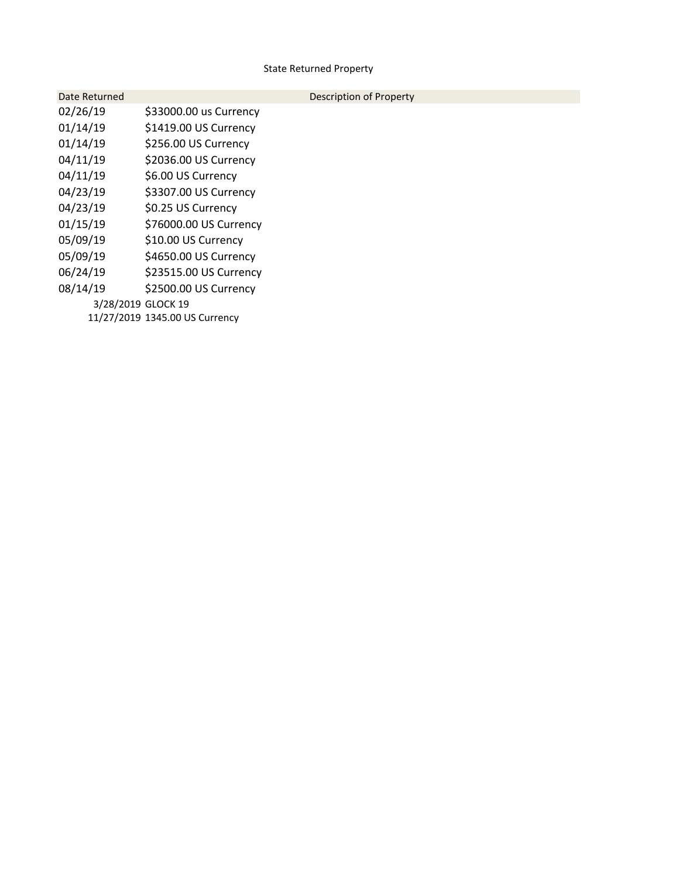# State Returned Property

| Date Returned      |                                | Description of Property |
|--------------------|--------------------------------|-------------------------|
| 02/26/19           | \$33000.00 us Currency         |                         |
| 01/14/19           | \$1419.00 US Currency          |                         |
| 01/14/19           | \$256.00 US Currency           |                         |
| 04/11/19           | \$2036.00 US Currency          |                         |
| 04/11/19           | \$6.00 US Currency             |                         |
| 04/23/19           | \$3307.00 US Currency          |                         |
| 04/23/19           | \$0.25 US Currency             |                         |
| 01/15/19           | \$76000.00 US Currency         |                         |
| 05/09/19           | \$10.00 US Currency            |                         |
| 05/09/19           | \$4650.00 US Currency          |                         |
| 06/24/19           | \$23515.00 US Currency         |                         |
| 08/14/19           | \$2500.00 US Currency          |                         |
| 3/28/2019 GLOCK 19 |                                |                         |
|                    | 11/27/2019 1345.00 US Currency |                         |
|                    |                                |                         |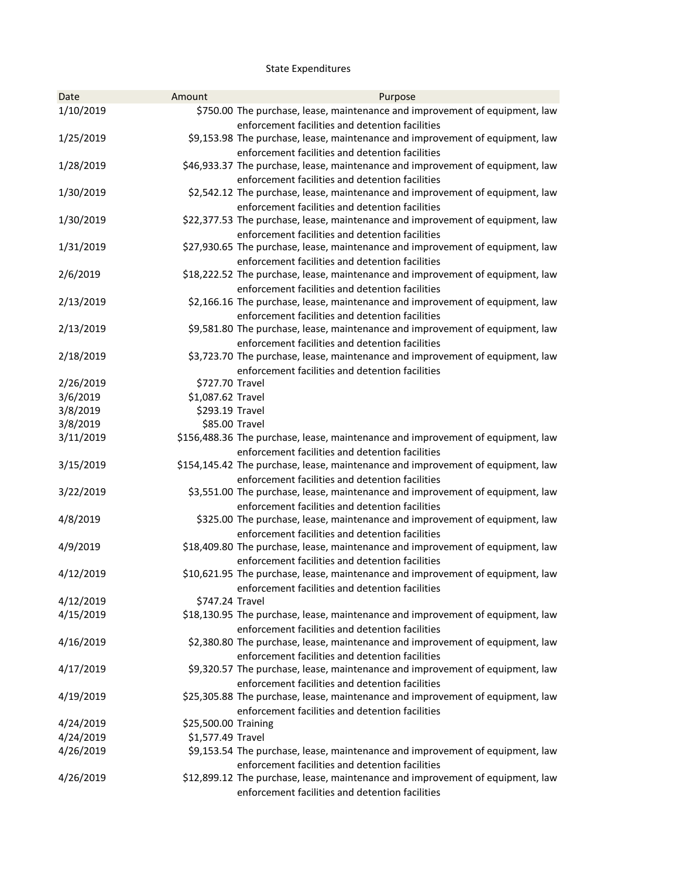# State Expenditures

| 1/10/2019<br>\$750.00 The purchase, lease, maintenance and improvement of equipment, law<br>enforcement facilities and detention facilities<br>1/25/2019<br>\$9,153.98 The purchase, lease, maintenance and improvement of equipment, law<br>enforcement facilities and detention facilities<br>\$46,933.37 The purchase, lease, maintenance and improvement of equipment, law<br>1/28/2019<br>enforcement facilities and detention facilities<br>\$2,542.12 The purchase, lease, maintenance and improvement of equipment, law<br>1/30/2019<br>enforcement facilities and detention facilities<br>\$22,377.53 The purchase, lease, maintenance and improvement of equipment, law<br>1/30/2019<br>enforcement facilities and detention facilities<br>1/31/2019<br>\$27,930.65 The purchase, lease, maintenance and improvement of equipment, law<br>enforcement facilities and detention facilities<br>2/6/2019<br>\$18,222.52 The purchase, lease, maintenance and improvement of equipment, law<br>enforcement facilities and detention facilities<br>2/13/2019<br>\$2,166.16 The purchase, lease, maintenance and improvement of equipment, law<br>enforcement facilities and detention facilities |  |
|-------------------------------------------------------------------------------------------------------------------------------------------------------------------------------------------------------------------------------------------------------------------------------------------------------------------------------------------------------------------------------------------------------------------------------------------------------------------------------------------------------------------------------------------------------------------------------------------------------------------------------------------------------------------------------------------------------------------------------------------------------------------------------------------------------------------------------------------------------------------------------------------------------------------------------------------------------------------------------------------------------------------------------------------------------------------------------------------------------------------------------------------------------------------------------------------------------|--|
|                                                                                                                                                                                                                                                                                                                                                                                                                                                                                                                                                                                                                                                                                                                                                                                                                                                                                                                                                                                                                                                                                                                                                                                                       |  |
|                                                                                                                                                                                                                                                                                                                                                                                                                                                                                                                                                                                                                                                                                                                                                                                                                                                                                                                                                                                                                                                                                                                                                                                                       |  |
|                                                                                                                                                                                                                                                                                                                                                                                                                                                                                                                                                                                                                                                                                                                                                                                                                                                                                                                                                                                                                                                                                                                                                                                                       |  |
|                                                                                                                                                                                                                                                                                                                                                                                                                                                                                                                                                                                                                                                                                                                                                                                                                                                                                                                                                                                                                                                                                                                                                                                                       |  |
|                                                                                                                                                                                                                                                                                                                                                                                                                                                                                                                                                                                                                                                                                                                                                                                                                                                                                                                                                                                                                                                                                                                                                                                                       |  |
|                                                                                                                                                                                                                                                                                                                                                                                                                                                                                                                                                                                                                                                                                                                                                                                                                                                                                                                                                                                                                                                                                                                                                                                                       |  |
|                                                                                                                                                                                                                                                                                                                                                                                                                                                                                                                                                                                                                                                                                                                                                                                                                                                                                                                                                                                                                                                                                                                                                                                                       |  |
|                                                                                                                                                                                                                                                                                                                                                                                                                                                                                                                                                                                                                                                                                                                                                                                                                                                                                                                                                                                                                                                                                                                                                                                                       |  |
|                                                                                                                                                                                                                                                                                                                                                                                                                                                                                                                                                                                                                                                                                                                                                                                                                                                                                                                                                                                                                                                                                                                                                                                                       |  |
|                                                                                                                                                                                                                                                                                                                                                                                                                                                                                                                                                                                                                                                                                                                                                                                                                                                                                                                                                                                                                                                                                                                                                                                                       |  |
|                                                                                                                                                                                                                                                                                                                                                                                                                                                                                                                                                                                                                                                                                                                                                                                                                                                                                                                                                                                                                                                                                                                                                                                                       |  |
|                                                                                                                                                                                                                                                                                                                                                                                                                                                                                                                                                                                                                                                                                                                                                                                                                                                                                                                                                                                                                                                                                                                                                                                                       |  |
|                                                                                                                                                                                                                                                                                                                                                                                                                                                                                                                                                                                                                                                                                                                                                                                                                                                                                                                                                                                                                                                                                                                                                                                                       |  |
|                                                                                                                                                                                                                                                                                                                                                                                                                                                                                                                                                                                                                                                                                                                                                                                                                                                                                                                                                                                                                                                                                                                                                                                                       |  |
|                                                                                                                                                                                                                                                                                                                                                                                                                                                                                                                                                                                                                                                                                                                                                                                                                                                                                                                                                                                                                                                                                                                                                                                                       |  |
| 2/13/2019<br>\$9,581.80 The purchase, lease, maintenance and improvement of equipment, law                                                                                                                                                                                                                                                                                                                                                                                                                                                                                                                                                                                                                                                                                                                                                                                                                                                                                                                                                                                                                                                                                                            |  |
| enforcement facilities and detention facilities                                                                                                                                                                                                                                                                                                                                                                                                                                                                                                                                                                                                                                                                                                                                                                                                                                                                                                                                                                                                                                                                                                                                                       |  |
| 2/18/2019<br>\$3,723.70 The purchase, lease, maintenance and improvement of equipment, law                                                                                                                                                                                                                                                                                                                                                                                                                                                                                                                                                                                                                                                                                                                                                                                                                                                                                                                                                                                                                                                                                                            |  |
| enforcement facilities and detention facilities                                                                                                                                                                                                                                                                                                                                                                                                                                                                                                                                                                                                                                                                                                                                                                                                                                                                                                                                                                                                                                                                                                                                                       |  |
| 2/26/2019<br>\$727.70 Travel                                                                                                                                                                                                                                                                                                                                                                                                                                                                                                                                                                                                                                                                                                                                                                                                                                                                                                                                                                                                                                                                                                                                                                          |  |
| 3/6/2019<br>\$1,087.62 Travel<br>3/8/2019<br>\$293.19 Travel                                                                                                                                                                                                                                                                                                                                                                                                                                                                                                                                                                                                                                                                                                                                                                                                                                                                                                                                                                                                                                                                                                                                          |  |
| 3/8/2019<br>\$85.00 Travel                                                                                                                                                                                                                                                                                                                                                                                                                                                                                                                                                                                                                                                                                                                                                                                                                                                                                                                                                                                                                                                                                                                                                                            |  |
| 3/11/2019<br>\$156,488.36 The purchase, lease, maintenance and improvement of equipment, law                                                                                                                                                                                                                                                                                                                                                                                                                                                                                                                                                                                                                                                                                                                                                                                                                                                                                                                                                                                                                                                                                                          |  |
| enforcement facilities and detention facilities                                                                                                                                                                                                                                                                                                                                                                                                                                                                                                                                                                                                                                                                                                                                                                                                                                                                                                                                                                                                                                                                                                                                                       |  |
| 3/15/2019<br>\$154,145.42 The purchase, lease, maintenance and improvement of equipment, law                                                                                                                                                                                                                                                                                                                                                                                                                                                                                                                                                                                                                                                                                                                                                                                                                                                                                                                                                                                                                                                                                                          |  |
| enforcement facilities and detention facilities                                                                                                                                                                                                                                                                                                                                                                                                                                                                                                                                                                                                                                                                                                                                                                                                                                                                                                                                                                                                                                                                                                                                                       |  |
| 3/22/2019<br>\$3,551.00 The purchase, lease, maintenance and improvement of equipment, law                                                                                                                                                                                                                                                                                                                                                                                                                                                                                                                                                                                                                                                                                                                                                                                                                                                                                                                                                                                                                                                                                                            |  |
| enforcement facilities and detention facilities                                                                                                                                                                                                                                                                                                                                                                                                                                                                                                                                                                                                                                                                                                                                                                                                                                                                                                                                                                                                                                                                                                                                                       |  |
| \$325.00 The purchase, lease, maintenance and improvement of equipment, law<br>4/8/2019                                                                                                                                                                                                                                                                                                                                                                                                                                                                                                                                                                                                                                                                                                                                                                                                                                                                                                                                                                                                                                                                                                               |  |
| enforcement facilities and detention facilities                                                                                                                                                                                                                                                                                                                                                                                                                                                                                                                                                                                                                                                                                                                                                                                                                                                                                                                                                                                                                                                                                                                                                       |  |
| \$18,409.80 The purchase, lease, maintenance and improvement of equipment, law<br>4/9/2019                                                                                                                                                                                                                                                                                                                                                                                                                                                                                                                                                                                                                                                                                                                                                                                                                                                                                                                                                                                                                                                                                                            |  |
| enforcement facilities and detention facilities                                                                                                                                                                                                                                                                                                                                                                                                                                                                                                                                                                                                                                                                                                                                                                                                                                                                                                                                                                                                                                                                                                                                                       |  |
| 4/12/2019<br>\$10,621.95 The purchase, lease, maintenance and improvement of equipment, law                                                                                                                                                                                                                                                                                                                                                                                                                                                                                                                                                                                                                                                                                                                                                                                                                                                                                                                                                                                                                                                                                                           |  |
| enforcement facilities and detention facilities                                                                                                                                                                                                                                                                                                                                                                                                                                                                                                                                                                                                                                                                                                                                                                                                                                                                                                                                                                                                                                                                                                                                                       |  |
| 4/12/2019<br>\$747.24 Travel<br>4/15/2019                                                                                                                                                                                                                                                                                                                                                                                                                                                                                                                                                                                                                                                                                                                                                                                                                                                                                                                                                                                                                                                                                                                                                             |  |
| \$18,130.95 The purchase, lease, maintenance and improvement of equipment, law<br>enforcement facilities and detention facilities                                                                                                                                                                                                                                                                                                                                                                                                                                                                                                                                                                                                                                                                                                                                                                                                                                                                                                                                                                                                                                                                     |  |
| 4/16/2019<br>\$2,380.80 The purchase, lease, maintenance and improvement of equipment, law                                                                                                                                                                                                                                                                                                                                                                                                                                                                                                                                                                                                                                                                                                                                                                                                                                                                                                                                                                                                                                                                                                            |  |
| enforcement facilities and detention facilities                                                                                                                                                                                                                                                                                                                                                                                                                                                                                                                                                                                                                                                                                                                                                                                                                                                                                                                                                                                                                                                                                                                                                       |  |
| 4/17/2019<br>\$9,320.57 The purchase, lease, maintenance and improvement of equipment, law                                                                                                                                                                                                                                                                                                                                                                                                                                                                                                                                                                                                                                                                                                                                                                                                                                                                                                                                                                                                                                                                                                            |  |
| enforcement facilities and detention facilities                                                                                                                                                                                                                                                                                                                                                                                                                                                                                                                                                                                                                                                                                                                                                                                                                                                                                                                                                                                                                                                                                                                                                       |  |
| \$25,305.88 The purchase, lease, maintenance and improvement of equipment, law<br>4/19/2019                                                                                                                                                                                                                                                                                                                                                                                                                                                                                                                                                                                                                                                                                                                                                                                                                                                                                                                                                                                                                                                                                                           |  |
| enforcement facilities and detention facilities                                                                                                                                                                                                                                                                                                                                                                                                                                                                                                                                                                                                                                                                                                                                                                                                                                                                                                                                                                                                                                                                                                                                                       |  |
| \$25,500.00 Training<br>4/24/2019                                                                                                                                                                                                                                                                                                                                                                                                                                                                                                                                                                                                                                                                                                                                                                                                                                                                                                                                                                                                                                                                                                                                                                     |  |
| 4/24/2019<br>\$1,577.49 Travel                                                                                                                                                                                                                                                                                                                                                                                                                                                                                                                                                                                                                                                                                                                                                                                                                                                                                                                                                                                                                                                                                                                                                                        |  |
| 4/26/2019<br>\$9,153.54 The purchase, lease, maintenance and improvement of equipment, law                                                                                                                                                                                                                                                                                                                                                                                                                                                                                                                                                                                                                                                                                                                                                                                                                                                                                                                                                                                                                                                                                                            |  |
| enforcement facilities and detention facilities                                                                                                                                                                                                                                                                                                                                                                                                                                                                                                                                                                                                                                                                                                                                                                                                                                                                                                                                                                                                                                                                                                                                                       |  |
| \$12,899.12 The purchase, lease, maintenance and improvement of equipment, law<br>4/26/2019<br>enforcement facilities and detention facilities                                                                                                                                                                                                                                                                                                                                                                                                                                                                                                                                                                                                                                                                                                                                                                                                                                                                                                                                                                                                                                                        |  |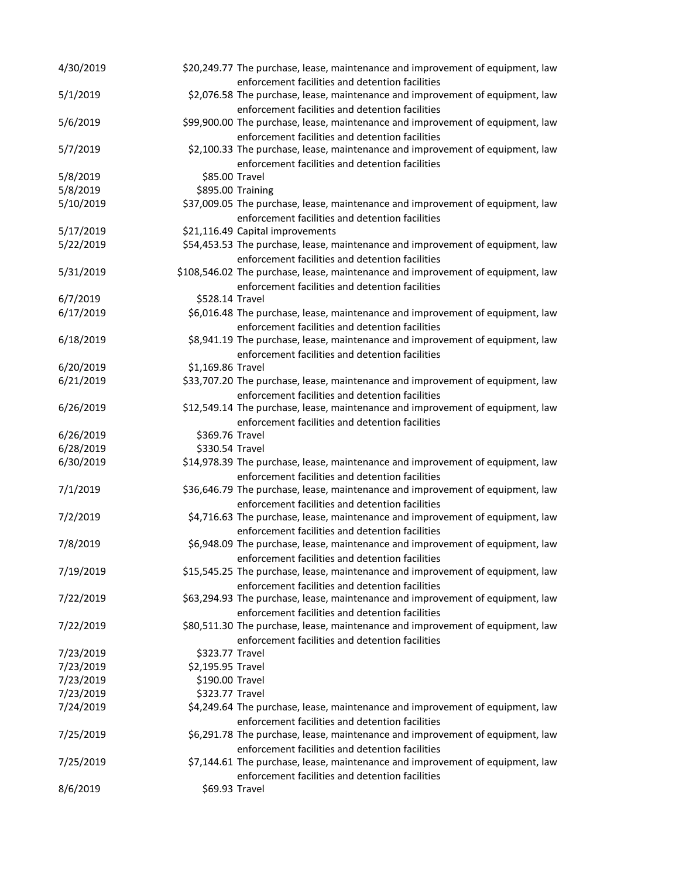| 4/30/2019              |                                    | \$20,249.77 The purchase, lease, maintenance and improvement of equipment, law<br>enforcement facilities and detention facilities |
|------------------------|------------------------------------|-----------------------------------------------------------------------------------------------------------------------------------|
| 5/1/2019               |                                    | \$2,076.58 The purchase, lease, maintenance and improvement of equipment, law<br>enforcement facilities and detention facilities  |
| 5/6/2019               |                                    | \$99,900.00 The purchase, lease, maintenance and improvement of equipment, law                                                    |
|                        |                                    | enforcement facilities and detention facilities                                                                                   |
| 5/7/2019               |                                    | \$2,100.33 The purchase, lease, maintenance and improvement of equipment, law                                                     |
|                        |                                    | enforcement facilities and detention facilities                                                                                   |
| 5/8/2019               | \$85.00 Travel                     |                                                                                                                                   |
| 5/8/2019               |                                    | \$895.00 Training                                                                                                                 |
| 5/10/2019              |                                    | \$37,009.05 The purchase, lease, maintenance and improvement of equipment, law                                                    |
|                        |                                    | enforcement facilities and detention facilities                                                                                   |
| 5/17/2019              |                                    | \$21,116.49 Capital improvements                                                                                                  |
| 5/22/2019              |                                    | \$54,453.53 The purchase, lease, maintenance and improvement of equipment, law                                                    |
|                        |                                    | enforcement facilities and detention facilities                                                                                   |
| 5/31/2019              |                                    | \$108,546.02 The purchase, lease, maintenance and improvement of equipment, law                                                   |
|                        |                                    | enforcement facilities and detention facilities                                                                                   |
| 6/7/2019               | \$528.14 Travel                    |                                                                                                                                   |
| 6/17/2019              |                                    | \$6,016.48 The purchase, lease, maintenance and improvement of equipment, law                                                     |
|                        |                                    | enforcement facilities and detention facilities                                                                                   |
| 6/18/2019              |                                    | \$8,941.19 The purchase, lease, maintenance and improvement of equipment, law                                                     |
|                        |                                    | enforcement facilities and detention facilities                                                                                   |
| 6/20/2019              | \$1,169.86 Travel                  |                                                                                                                                   |
| 6/21/2019              |                                    | \$33,707.20 The purchase, lease, maintenance and improvement of equipment, law                                                    |
| 6/26/2019              |                                    | enforcement facilities and detention facilities<br>\$12,549.14 The purchase, lease, maintenance and improvement of equipment, law |
|                        |                                    | enforcement facilities and detention facilities                                                                                   |
| 6/26/2019              | \$369.76 Travel                    |                                                                                                                                   |
| 6/28/2019              | \$330.54 Travel                    |                                                                                                                                   |
| 6/30/2019              |                                    | \$14,978.39 The purchase, lease, maintenance and improvement of equipment, law                                                    |
|                        |                                    | enforcement facilities and detention facilities                                                                                   |
| 7/1/2019               |                                    | \$36,646.79 The purchase, lease, maintenance and improvement of equipment, law                                                    |
|                        |                                    | enforcement facilities and detention facilities                                                                                   |
| 7/2/2019               |                                    | \$4,716.63 The purchase, lease, maintenance and improvement of equipment, law                                                     |
|                        |                                    | enforcement facilities and detention facilities                                                                                   |
| 7/8/2019               |                                    | \$6,948.09 The purchase, lease, maintenance and improvement of equipment, law                                                     |
|                        |                                    | enforcement facilities and detention facilities                                                                                   |
| 7/19/2019              |                                    | \$15,545.25 The purchase, lease, maintenance and improvement of equipment, law                                                    |
|                        |                                    | enforcement facilities and detention facilities                                                                                   |
| 7/22/2019              |                                    | \$63,294.93 The purchase, lease, maintenance and improvement of equipment, law                                                    |
|                        |                                    | enforcement facilities and detention facilities                                                                                   |
| 7/22/2019              |                                    | \$80,511.30 The purchase, lease, maintenance and improvement of equipment, law                                                    |
|                        |                                    | enforcement facilities and detention facilities                                                                                   |
| 7/23/2019              | \$323.77 Travel                    |                                                                                                                                   |
| 7/23/2019              | \$2,195.95 Travel                  |                                                                                                                                   |
| 7/23/2019<br>7/23/2019 | \$190.00 Travel<br>\$323.77 Travel |                                                                                                                                   |
| 7/24/2019              |                                    | \$4,249.64 The purchase, lease, maintenance and improvement of equipment, law                                                     |
|                        |                                    | enforcement facilities and detention facilities                                                                                   |
| 7/25/2019              |                                    | \$6,291.78 The purchase, lease, maintenance and improvement of equipment, law                                                     |
|                        |                                    | enforcement facilities and detention facilities                                                                                   |
| 7/25/2019              |                                    | \$7,144.61 The purchase, lease, maintenance and improvement of equipment, law                                                     |
|                        |                                    | enforcement facilities and detention facilities                                                                                   |
| 8/6/2019               | \$69.93 Travel                     |                                                                                                                                   |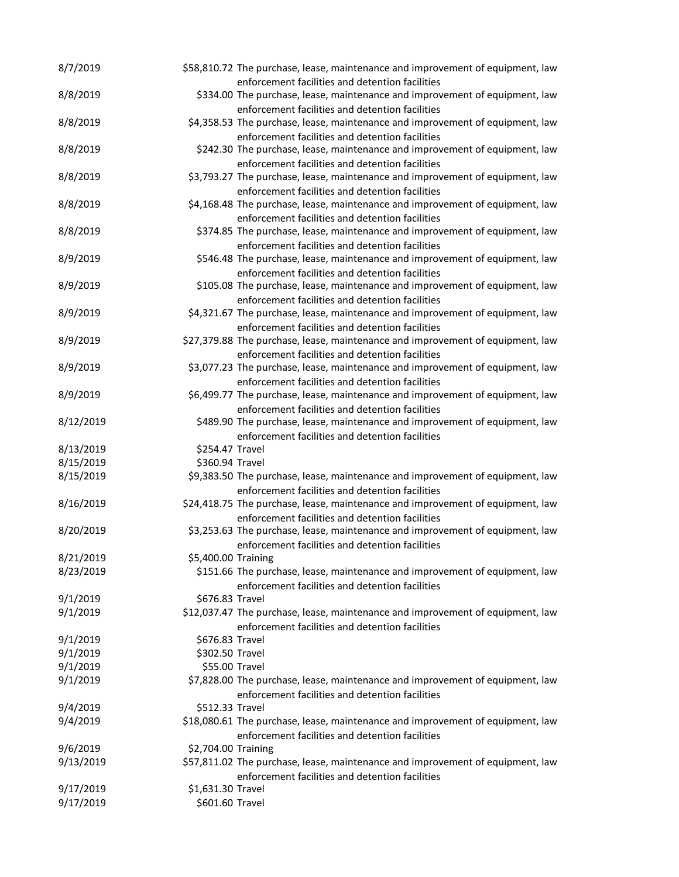| 8/7/2019               |                                      | \$58,810.72 The purchase, lease, maintenance and improvement of equipment, law                                                    |
|------------------------|--------------------------------------|-----------------------------------------------------------------------------------------------------------------------------------|
|                        |                                      | enforcement facilities and detention facilities                                                                                   |
| 8/8/2019               |                                      | \$334.00 The purchase, lease, maintenance and improvement of equipment, law<br>enforcement facilities and detention facilities    |
| 8/8/2019               |                                      | \$4,358.53 The purchase, lease, maintenance and improvement of equipment, law                                                     |
|                        |                                      | enforcement facilities and detention facilities                                                                                   |
| 8/8/2019               |                                      | \$242.30 The purchase, lease, maintenance and improvement of equipment, law                                                       |
|                        |                                      | enforcement facilities and detention facilities                                                                                   |
| 8/8/2019               |                                      | \$3,793.27 The purchase, lease, maintenance and improvement of equipment, law                                                     |
|                        |                                      | enforcement facilities and detention facilities                                                                                   |
| 8/8/2019               |                                      | \$4,168.48 The purchase, lease, maintenance and improvement of equipment, law                                                     |
|                        |                                      | enforcement facilities and detention facilities                                                                                   |
| 8/8/2019               |                                      | \$374.85 The purchase, lease, maintenance and improvement of equipment, law                                                       |
|                        |                                      | enforcement facilities and detention facilities                                                                                   |
| 8/9/2019               |                                      | \$546.48 The purchase, lease, maintenance and improvement of equipment, law                                                       |
|                        |                                      | enforcement facilities and detention facilities                                                                                   |
| 8/9/2019               |                                      | \$105.08 The purchase, lease, maintenance and improvement of equipment, law                                                       |
| 8/9/2019               |                                      | enforcement facilities and detention facilities<br>\$4,321.67 The purchase, lease, maintenance and improvement of equipment, law  |
|                        |                                      | enforcement facilities and detention facilities                                                                                   |
| 8/9/2019               |                                      | \$27,379.88 The purchase, lease, maintenance and improvement of equipment, law                                                    |
|                        |                                      | enforcement facilities and detention facilities                                                                                   |
| 8/9/2019               |                                      | \$3,077.23 The purchase, lease, maintenance and improvement of equipment, law                                                     |
|                        |                                      | enforcement facilities and detention facilities                                                                                   |
| 8/9/2019               |                                      | \$6,499.77 The purchase, lease, maintenance and improvement of equipment, law                                                     |
|                        |                                      | enforcement facilities and detention facilities                                                                                   |
| 8/12/2019              |                                      | \$489.90 The purchase, lease, maintenance and improvement of equipment, law                                                       |
|                        |                                      | enforcement facilities and detention facilities                                                                                   |
| 8/13/2019              | \$254.47 Travel                      |                                                                                                                                   |
| 8/15/2019              | \$360.94 Travel                      |                                                                                                                                   |
| 8/15/2019              |                                      | \$9,383.50 The purchase, lease, maintenance and improvement of equipment, law                                                     |
| 8/16/2019              |                                      | enforcement facilities and detention facilities                                                                                   |
|                        |                                      | \$24,418.75 The purchase, lease, maintenance and improvement of equipment, law<br>enforcement facilities and detention facilities |
| 8/20/2019              |                                      | \$3,253.63 The purchase, lease, maintenance and improvement of equipment, law                                                     |
|                        |                                      |                                                                                                                                   |
|                        |                                      |                                                                                                                                   |
|                        |                                      | enforcement facilities and detention facilities                                                                                   |
| 8/21/2019<br>8/23/2019 | \$5,400.00 Training                  |                                                                                                                                   |
|                        |                                      | \$151.66 The purchase, lease, maintenance and improvement of equipment, law<br>enforcement facilities and detention facilities    |
| 9/1/2019               | \$676.83 Travel                      |                                                                                                                                   |
| 9/1/2019               |                                      | \$12,037.47 The purchase, lease, maintenance and improvement of equipment, law                                                    |
|                        |                                      | enforcement facilities and detention facilities                                                                                   |
| 9/1/2019               | \$676.83 Travel                      |                                                                                                                                   |
| 9/1/2019               | \$302.50 Travel                      |                                                                                                                                   |
| 9/1/2019               | \$55.00 Travel                       |                                                                                                                                   |
| 9/1/2019               |                                      | \$7,828.00 The purchase, lease, maintenance and improvement of equipment, law                                                     |
|                        |                                      | enforcement facilities and detention facilities                                                                                   |
| 9/4/2019               | \$512.33 Travel                      |                                                                                                                                   |
| 9/4/2019               |                                      | \$18,080.61 The purchase, lease, maintenance and improvement of equipment, law                                                    |
|                        |                                      | enforcement facilities and detention facilities                                                                                   |
| 9/6/2019<br>9/13/2019  | \$2,704.00 Training                  | \$57,811.02 The purchase, lease, maintenance and improvement of equipment, law                                                    |
|                        |                                      | enforcement facilities and detention facilities                                                                                   |
| 9/17/2019              | \$1,631.30 Travel<br>\$601.60 Travel |                                                                                                                                   |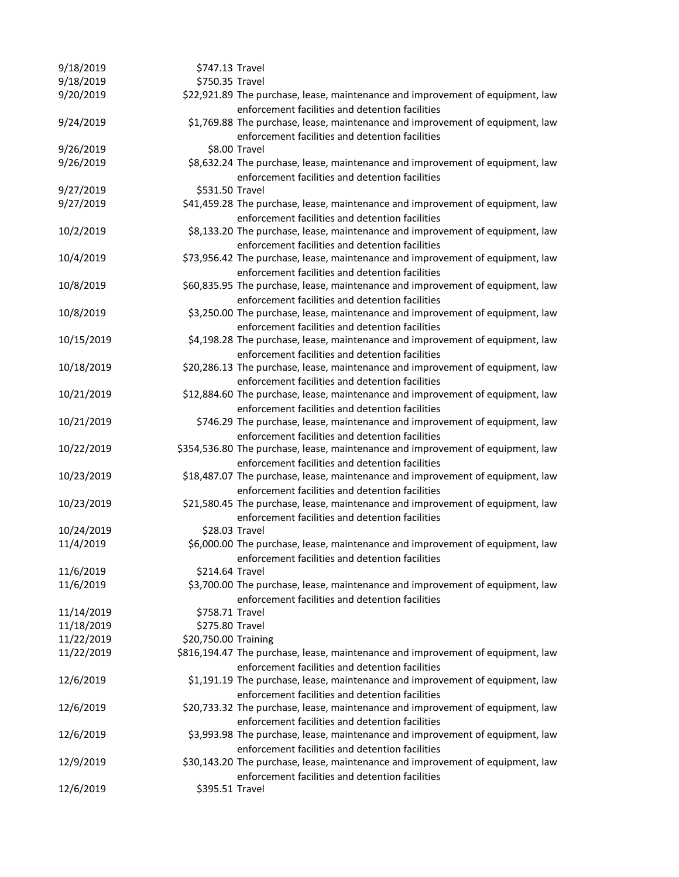| 9/18/2019  | \$747.13 Travel      |                                                                                                                                |
|------------|----------------------|--------------------------------------------------------------------------------------------------------------------------------|
| 9/18/2019  | \$750.35 Travel      |                                                                                                                                |
| 9/20/2019  |                      | \$22,921.89 The purchase, lease, maintenance and improvement of equipment, law                                                 |
|            |                      | enforcement facilities and detention facilities                                                                                |
| 9/24/2019  |                      | \$1,769.88 The purchase, lease, maintenance and improvement of equipment, law                                                  |
|            |                      | enforcement facilities and detention facilities                                                                                |
| 9/26/2019  |                      | \$8.00 Travel                                                                                                                  |
| 9/26/2019  |                      | \$8,632.24 The purchase, lease, maintenance and improvement of equipment, law                                                  |
|            |                      | enforcement facilities and detention facilities                                                                                |
| 9/27/2019  | \$531.50 Travel      |                                                                                                                                |
| 9/27/2019  |                      | \$41,459.28 The purchase, lease, maintenance and improvement of equipment, law                                                 |
|            |                      | enforcement facilities and detention facilities                                                                                |
| 10/2/2019  |                      | \$8,133.20 The purchase, lease, maintenance and improvement of equipment, law                                                  |
|            |                      | enforcement facilities and detention facilities                                                                                |
| 10/4/2019  |                      | \$73,956.42 The purchase, lease, maintenance and improvement of equipment, law                                                 |
|            |                      | enforcement facilities and detention facilities                                                                                |
| 10/8/2019  |                      | \$60,835.95 The purchase, lease, maintenance and improvement of equipment, law                                                 |
|            |                      | enforcement facilities and detention facilities                                                                                |
| 10/8/2019  |                      | \$3,250.00 The purchase, lease, maintenance and improvement of equipment, law                                                  |
|            |                      | enforcement facilities and detention facilities                                                                                |
| 10/15/2019 |                      | \$4,198.28 The purchase, lease, maintenance and improvement of equipment, law                                                  |
|            |                      | enforcement facilities and detention facilities                                                                                |
| 10/18/2019 |                      | \$20,286.13 The purchase, lease, maintenance and improvement of equipment, law                                                 |
|            |                      | enforcement facilities and detention facilities                                                                                |
| 10/21/2019 |                      | \$12,884.60 The purchase, lease, maintenance and improvement of equipment, law                                                 |
| 10/21/2019 |                      | enforcement facilities and detention facilities                                                                                |
|            |                      | \$746.29 The purchase, lease, maintenance and improvement of equipment, law<br>enforcement facilities and detention facilities |
| 10/22/2019 |                      | \$354,536.80 The purchase, lease, maintenance and improvement of equipment, law                                                |
|            |                      | enforcement facilities and detention facilities                                                                                |
| 10/23/2019 |                      | \$18,487.07 The purchase, lease, maintenance and improvement of equipment, law                                                 |
|            |                      | enforcement facilities and detention facilities                                                                                |
| 10/23/2019 |                      | \$21,580.45 The purchase, lease, maintenance and improvement of equipment, law                                                 |
|            |                      | enforcement facilities and detention facilities                                                                                |
| 10/24/2019 | \$28.03 Travel       |                                                                                                                                |
| 11/4/2019  |                      | \$6,000.00 The purchase, lease, maintenance and improvement of equipment, law                                                  |
|            |                      | enforcement facilities and detention facilities                                                                                |
| 11/6/2019  | \$214.64 Travel      |                                                                                                                                |
| 11/6/2019  |                      | \$3,700.00 The purchase, lease, maintenance and improvement of equipment, law                                                  |
|            |                      | enforcement facilities and detention facilities                                                                                |
| 11/14/2019 | \$758.71 Travel      |                                                                                                                                |
| 11/18/2019 | \$275.80 Travel      |                                                                                                                                |
| 11/22/2019 | \$20,750.00 Training |                                                                                                                                |
| 11/22/2019 |                      | \$816,194.47 The purchase, lease, maintenance and improvement of equipment, law                                                |
|            |                      | enforcement facilities and detention facilities                                                                                |
| 12/6/2019  |                      | \$1,191.19 The purchase, lease, maintenance and improvement of equipment, law                                                  |
|            |                      | enforcement facilities and detention facilities                                                                                |
| 12/6/2019  |                      | \$20,733.32 The purchase, lease, maintenance and improvement of equipment, law                                                 |
|            |                      | enforcement facilities and detention facilities                                                                                |
| 12/6/2019  |                      | \$3,993.98 The purchase, lease, maintenance and improvement of equipment, law                                                  |
|            |                      | enforcement facilities and detention facilities                                                                                |
| 12/9/2019  |                      | \$30,143.20 The purchase, lease, maintenance and improvement of equipment, law                                                 |
|            |                      | enforcement facilities and detention facilities                                                                                |
| 12/6/2019  | \$395.51 Travel      |                                                                                                                                |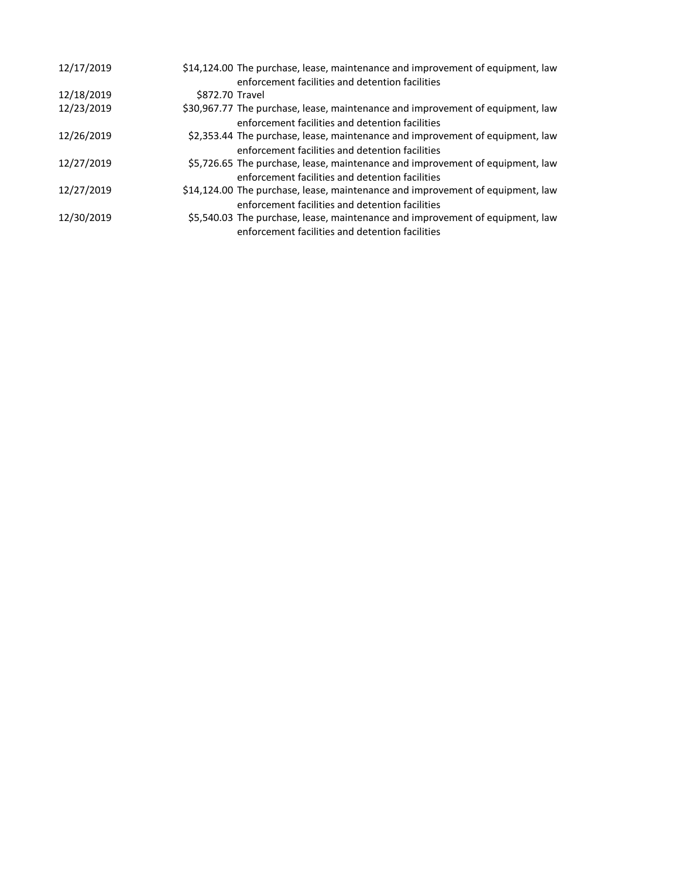| 12/17/2019 | \$14,124.00 The purchase, lease, maintenance and improvement of equipment, law |
|------------|--------------------------------------------------------------------------------|
|            | enforcement facilities and detention facilities                                |
| 12/18/2019 | \$872.70 Travel                                                                |
| 12/23/2019 | \$30,967.77 The purchase, lease, maintenance and improvement of equipment, law |
|            | enforcement facilities and detention facilities                                |
| 12/26/2019 | \$2,353.44 The purchase, lease, maintenance and improvement of equipment, law  |
|            | enforcement facilities and detention facilities                                |
| 12/27/2019 | \$5,726.65 The purchase, lease, maintenance and improvement of equipment, law  |
|            | enforcement facilities and detention facilities                                |
| 12/27/2019 | \$14,124.00 The purchase, lease, maintenance and improvement of equipment, law |
|            | enforcement facilities and detention facilities                                |
| 12/30/2019 | \$5,540.03 The purchase, lease, maintenance and improvement of equipment, law  |
|            | enforcement facilities and detention facilities                                |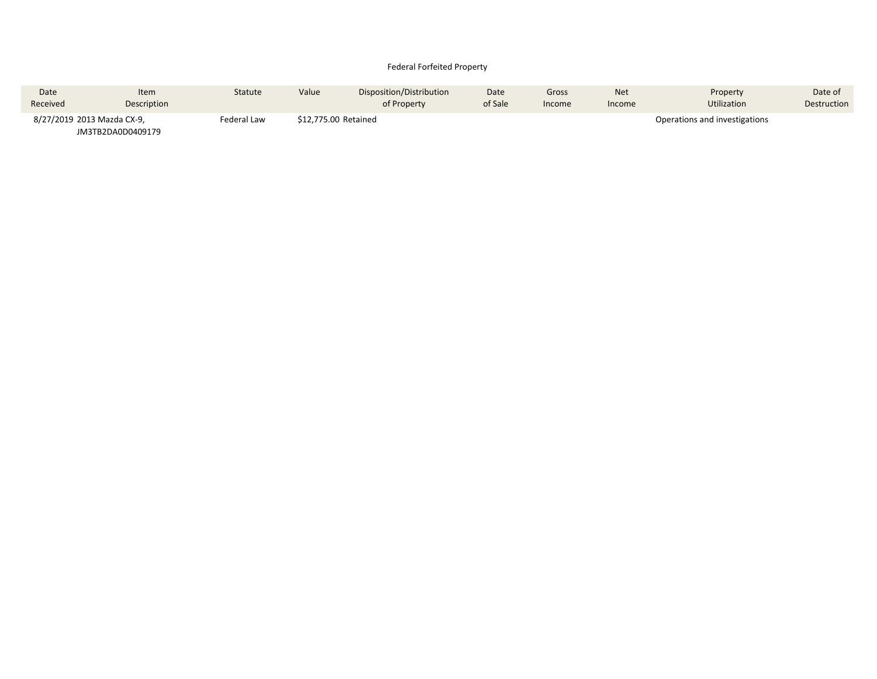### Federal Forfeited Property

| Date                       | <b>Item</b>       | Statute     | Value                | Disposition/Distribution | Date    | Gross  | <b>Net</b> | Property                      | Date of     |
|----------------------------|-------------------|-------------|----------------------|--------------------------|---------|--------|------------|-------------------------------|-------------|
| Received                   | Description       |             |                      | of Property              | of Sale | Income | Income     | Utilization                   | Destruction |
| 8/27/2019 2013 Mazda CX-9, |                   | Federal Law | \$12,775.00 Retained |                          |         |        |            | Operations and investigations |             |
|                            | JM3TB2DA0D0409179 |             |                      |                          |         |        |            |                               |             |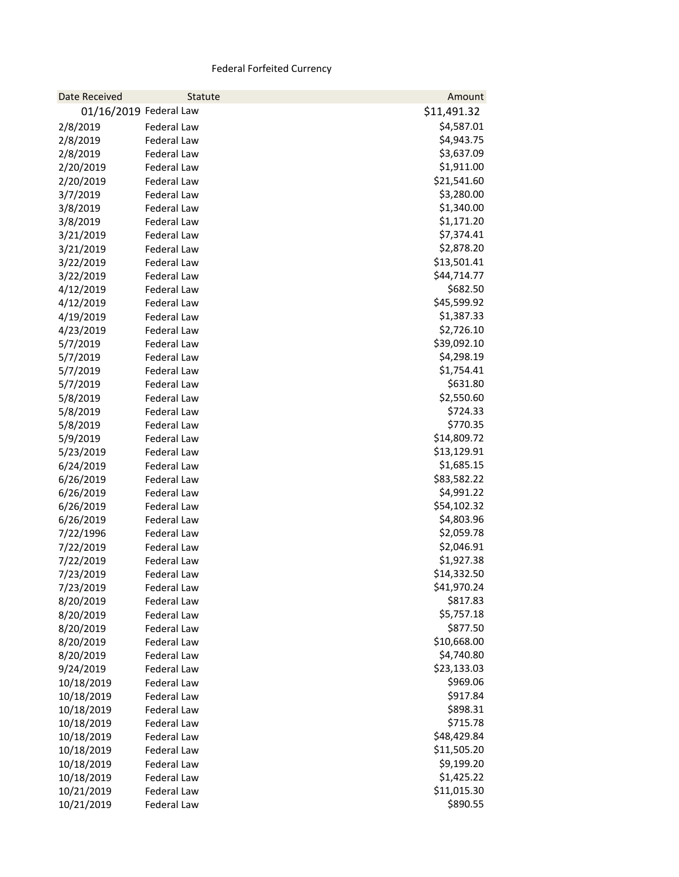# Federal Forfeited Currency

| Date Received          | Statute            | Amount      |
|------------------------|--------------------|-------------|
| 01/16/2019 Federal Law |                    | \$11,491.32 |
| 2/8/2019               | Federal Law        | \$4,587.01  |
| 2/8/2019               | Federal Law        | \$4,943.75  |
| 2/8/2019               | <b>Federal Law</b> | \$3,637.09  |
| 2/20/2019              | Federal Law        | \$1,911.00  |
| 2/20/2019              | Federal Law        | \$21,541.60 |
| 3/7/2019               | Federal Law        | \$3,280.00  |
| 3/8/2019               | Federal Law        | \$1,340.00  |
| 3/8/2019               | Federal Law        | \$1,171.20  |
| 3/21/2019              | <b>Federal Law</b> | \$7,374.41  |
| 3/21/2019              | Federal Law        | \$2,878.20  |
| 3/22/2019              | Federal Law        | \$13,501.41 |
| 3/22/2019              | Federal Law        | \$44,714.77 |
| 4/12/2019              | Federal Law        | \$682.50    |
| 4/12/2019              | <b>Federal Law</b> | \$45,599.92 |
| 4/19/2019              | <b>Federal Law</b> | \$1,387.33  |
| 4/23/2019              | Federal Law        | \$2,726.10  |
| 5/7/2019               | Federal Law        | \$39,092.10 |
| 5/7/2019               | <b>Federal Law</b> | \$4,298.19  |
| 5/7/2019               | Federal Law        | \$1,754.41  |
| 5/7/2019               | <b>Federal Law</b> | \$631.80    |
| 5/8/2019               | <b>Federal Law</b> | \$2,550.60  |
| 5/8/2019               | Federal Law        | \$724.33    |
| 5/8/2019               | Federal Law        | \$770.35    |
| 5/9/2019               | Federal Law        | \$14,809.72 |
| 5/23/2019              | Federal Law        | \$13,129.91 |
| 6/24/2019              | <b>Federal Law</b> | \$1,685.15  |
| 6/26/2019              | Federal Law        | \$83,582.22 |
| 6/26/2019              | Federal Law        | \$4,991.22  |
| 6/26/2019              | Federal Law        | \$54,102.32 |
| 6/26/2019              | Federal Law        | \$4,803.96  |
| 7/22/1996              | Federal Law        | \$2,059.78  |
| 7/22/2019              | <b>Federal Law</b> | \$2,046.91  |
| 7/22/2019              | Federal Law        | \$1,927.38  |
| 7/23/2019              | <b>Federal Law</b> | \$14,332.50 |
| 7/23/2019              | Federal Law        | \$41,970.24 |
| 8/20/2019              | Federal Law        | \$817.83    |
| 8/20/2019              | Federal Law        | \$5,757.18  |
| 8/20/2019              | Federal Law        | \$877.50    |
| 8/20/2019              | Federal Law        | \$10,668.00 |
| 8/20/2019              | <b>Federal Law</b> | \$4,740.80  |
| 9/24/2019              | Federal Law        | \$23,133.03 |
| 10/18/2019             | Federal Law        | \$969.06    |
| 10/18/2019             | <b>Federal Law</b> | \$917.84    |
| 10/18/2019             | Federal Law        | \$898.31    |
| 10/18/2019             | <b>Federal Law</b> | \$715.78    |
| 10/18/2019             | Federal Law        | \$48,429.84 |
| 10/18/2019             | Federal Law        | \$11,505.20 |
| 10/18/2019             | Federal Law        | \$9,199.20  |
| 10/18/2019             | Federal Law        | \$1,425.22  |
| 10/21/2019             | <b>Federal Law</b> | \$11,015.30 |
| 10/21/2019             | Federal Law        | \$890.55    |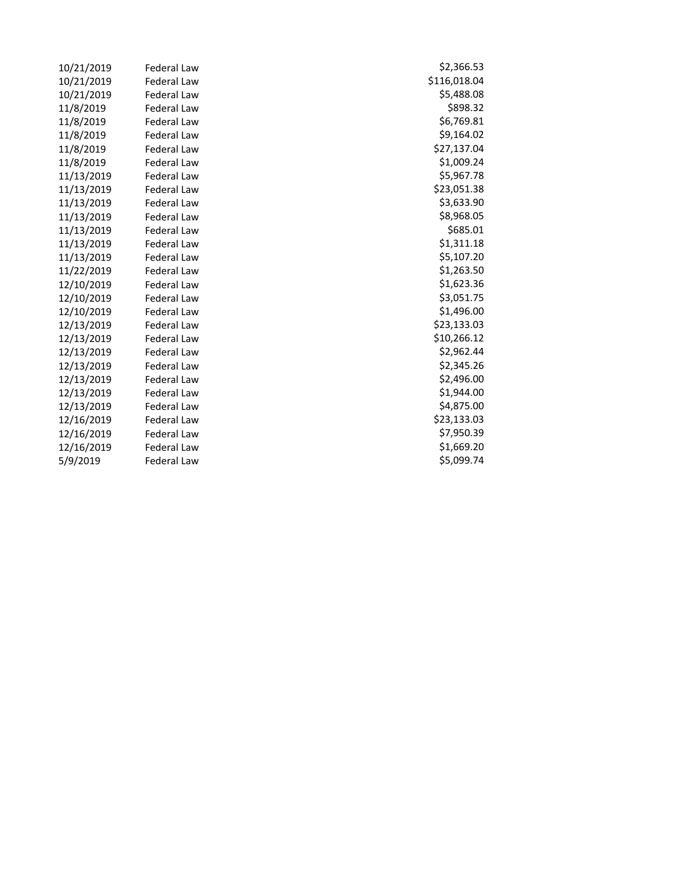| 10/21/2019 | <b>Federal Law</b> | \$2,366.53   |
|------------|--------------------|--------------|
| 10/21/2019 | <b>Federal Law</b> | \$116,018.04 |
| 10/21/2019 | Federal Law        | \$5,488.08   |
| 11/8/2019  | <b>Federal Law</b> | \$898.32     |
| 11/8/2019  | <b>Federal Law</b> | \$6,769.81   |
| 11/8/2019  | Federal Law        | \$9,164.02   |
| 11/8/2019  | <b>Federal Law</b> | \$27,137.04  |
| 11/8/2019  | Federal Law        | \$1,009.24   |
| 11/13/2019 | <b>Federal Law</b> | \$5,967.78   |
| 11/13/2019 | <b>Federal Law</b> | \$23,051.38  |
| 11/13/2019 | Federal Law        | \$3,633.90   |
| 11/13/2019 | Federal Law        | \$8,968.05   |
| 11/13/2019 | <b>Federal Law</b> | \$685.01     |
| 11/13/2019 | Federal Law        | \$1,311.18   |
| 11/13/2019 | Federal Law        | \$5,107.20   |
| 11/22/2019 | <b>Federal Law</b> | \$1,263.50   |
| 12/10/2019 | <b>Federal Law</b> | \$1,623.36   |
| 12/10/2019 | Federal Law        | \$3,051.75   |
| 12/10/2019 | <b>Federal Law</b> | \$1,496.00   |
| 12/13/2019 | <b>Federal Law</b> | \$23,133.03  |
| 12/13/2019 | <b>Federal Law</b> | \$10,266.12  |
| 12/13/2019 | <b>Federal Law</b> | \$2,962.44   |
| 12/13/2019 | <b>Federal Law</b> | \$2,345.26   |
| 12/13/2019 | Federal Law        | \$2,496.00   |
| 12/13/2019 | <b>Federal Law</b> | \$1,944.00   |
| 12/13/2019 | <b>Federal Law</b> | \$4,875.00   |
| 12/16/2019 | <b>Federal Law</b> | \$23,133.03  |
| 12/16/2019 | <b>Federal Law</b> | \$7,950.39   |
| 12/16/2019 | <b>Federal Law</b> | \$1,669.20   |
| 5/9/2019   | Federal Law        | \$5,099.74   |

\$5,488.08<br>\$898.32 \$6,769.81<br>\$9,164.02 \$27,137.04<br>\$1,009.24 \$5,967.78 \$23,051.38 \$3,633.90<br>\$8,968.05  $$1,623.36$ \$3,051.75<br>\$1,496.00 \$23,133.03  $$10,266.12$ \$2,962.44<br>\$2,345.26 \$1,944.00 \$23,133.03<br>\$7,950.39